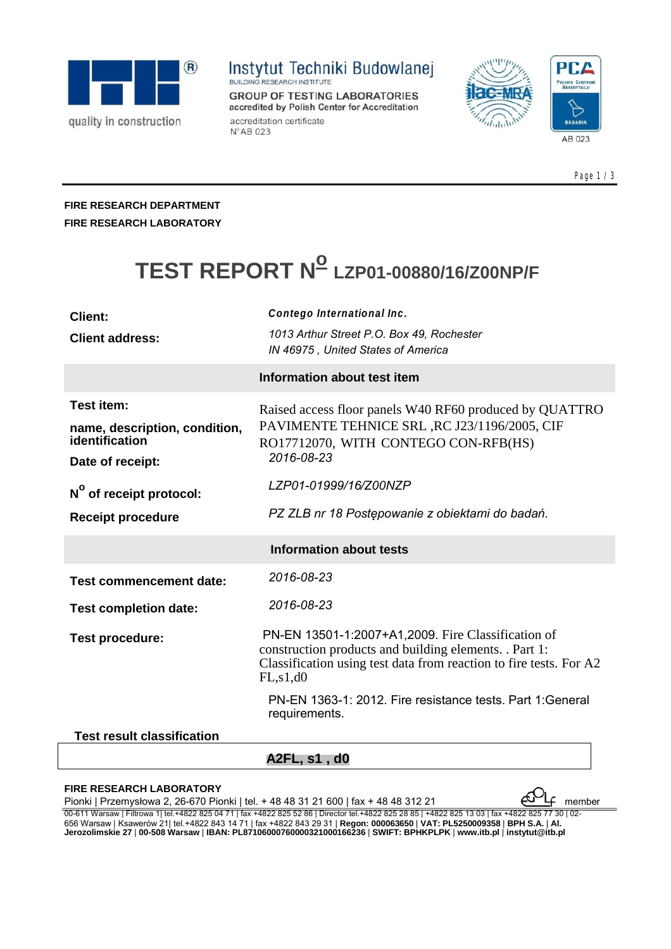

## **Instytut Techniki Budowlanej**

**GROUP OF TESTING LABORATORIES** accredited by Polish Center for Accreditation accreditation certificate Nº AB 023





Page 1 / 3

### **FIRE RESEARCH DEPARTMENT FIRE RESEARCH LABORATORY**

# **TEST REPORT No LZP01-00880/16/Z00NP/F**

| Client:                                     | Contego International Inc.                                                                                                                                                                       |
|---------------------------------------------|--------------------------------------------------------------------------------------------------------------------------------------------------------------------------------------------------|
| <b>Client address:</b>                      | 1013 Arthur Street P.O. Box 49, Rochester<br>IN 46975, United States of America                                                                                                                  |
| Information about test item                 |                                                                                                                                                                                                  |
| Test item:<br>name, description, condition, | Raised access floor panels W40 RF60 produced by QUATTRO<br>PAVIMENTE TEHNICE SRL, RC J23/1196/2005, CIF                                                                                          |
| identification<br>Date of receipt:          | RO17712070, WITH CONTEGO CON-RFB(HS)<br>2016-08-23                                                                                                                                               |
| N <sup>o</sup> of receipt protocol:         | LZP01-01999/16/Z00NZP                                                                                                                                                                            |
| <b>Receipt procedure</b>                    | PZ ZLB nr 18 Postępowanie z obiektami do badań.                                                                                                                                                  |
| <b>Information about tests</b>              |                                                                                                                                                                                                  |
| <b>Test commencement date:</b>              | 2016-08-23                                                                                                                                                                                       |
| <b>Test completion date:</b>                | 2016-08-23                                                                                                                                                                                       |
| <b>Test procedure:</b>                      | PN-EN 13501-1:2007+A1,2009. Fire Classification of<br>construction products and building elements. . Part 1:<br>Classification using test data from reaction to fire tests. For A2<br>FL, s1, d0 |
|                                             | PN-EN 1363-1: 2012. Fire resistance tests. Part 1: General<br>requirements.                                                                                                                      |
| <b>Test result classification</b>           |                                                                                                                                                                                                  |
|                                             | A2FL, s1 , d0                                                                                                                                                                                    |

#### **FIRE RESEARCH LABORATORY**

Pionki | Przemysłowa 2, 26-670 Pionki | tel. + 48 48 31 21 600 | fax + 48 48 312 21 00-611 Warsaw | Filtrowa 1| tel.+4822 825 04 71 | fax +4822 825 52 86 | Director tel.+4822 825 28 85 | +4822 825 13 03 | fax +4822 825 77 30 | 02- 656 Warsaw | Ksawerów 21| tel.+4822 843 14 71 | fax +4822 843 29 31 | Regon: 000063650 | VAT: PL5250009358 | BPH S.A. | Al.<br>Jerozolimskie 27 | 00-508 Warsaw | IBAN: PL87106000760000321000166236 | SWIFT: BPHKPLPK | www.itb.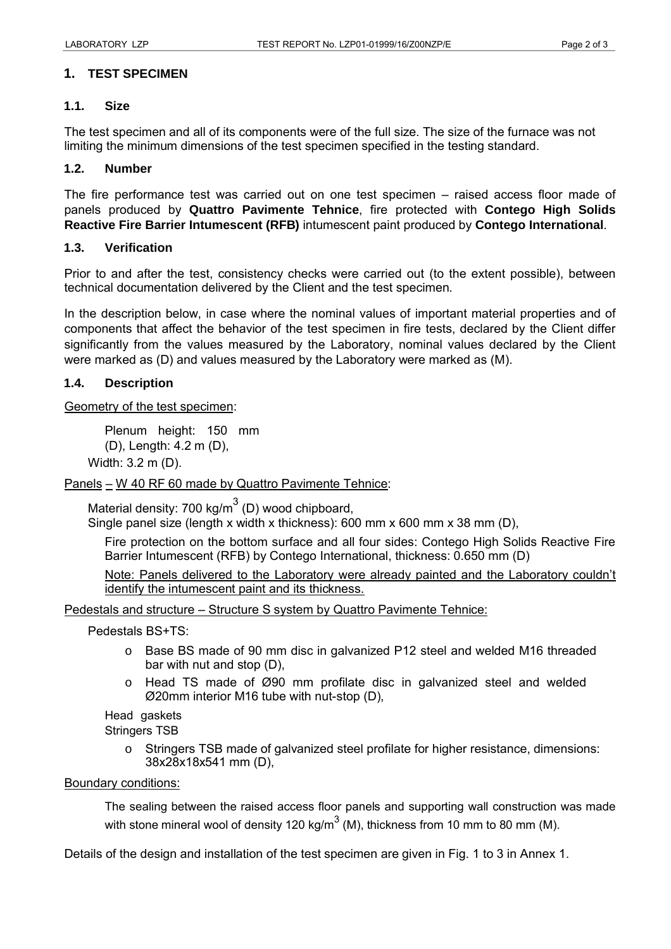### **1. TEST SPECIMEN**

#### **1.1. Size**

The test specimen and all of its components were of the full size. The size of the furnace was not limiting the minimum dimensions of the test specimen specified in the testing standard.

### **1.2. Number**

The fire performance test was carried out on one test specimen – raised access floor made of panels produced by **Quattro Pavimente Tehnice**, fire protected with **Contego High Solids Reactive Fire Barrier Intumescent (RFB)** intumescent paint produced by **Contego International**.

#### **1.3. Verification**

Prior to and after the test, consistency checks were carried out (to the extent possible), between technical documentation delivered by the Client and the test specimen.

In the description below, in case where the nominal values of important material properties and of components that affect the behavior of the test specimen in fire tests, declared by the Client differ significantly from the values measured by the Laboratory, nominal values declared by the Client were marked as (D) and values measured by the Laboratory were marked as (M).

#### **1.4. Description**

Geometry of the test specimen:

Plenum height: 150 mm (D), Length: 4.2 m (D),

Width: 3.2 m (D).

Panels – W 40 RF 60 made by Quattro Pavimente Tehnice:

Material density: 700 kg/m<sup>3</sup> (D) wood chipboard, Single panel size (length x width x thickness): 600 mm x 600 mm x 38 mm (D),

Fire protection on the bottom surface and all four sides: Contego High Solids Reactive Fire Barrier Intumescent (RFB) by Contego International, thickness: 0.650 mm (D)

Note: Panels delivered to the Laboratory were already painted and the Laboratory couldn't identify the intumescent paint and its thickness.

Pedestals and structure – Structure S system by Quattro Pavimente Tehnice:

Pedestals BS+TS:

- $\circ$  Base BS made of 90 mm disc in galvanized P12 steel and welded M16 threaded bar with nut and stop (D),
- $\circ$  Head TS made of Ø90 mm profilate disc in galvanized steel and welded Ø20mm interior M16 tube with nut-stop (D),

Head gaskets

Stringers TSB

o Stringers TSB made of galvanized steel profilate for higher resistance, dimensions: 38x28x18x541 mm (D),

#### Boundary conditions:

The sealing between the raised access floor panels and supporting wall construction was made with stone mineral wool of density 120 kg/m<sup>3</sup> (M), thickness from 10 mm to 80 mm (M).

Details of the design and installation of the test specimen are given in Fig. 1 to 3 in Annex 1.